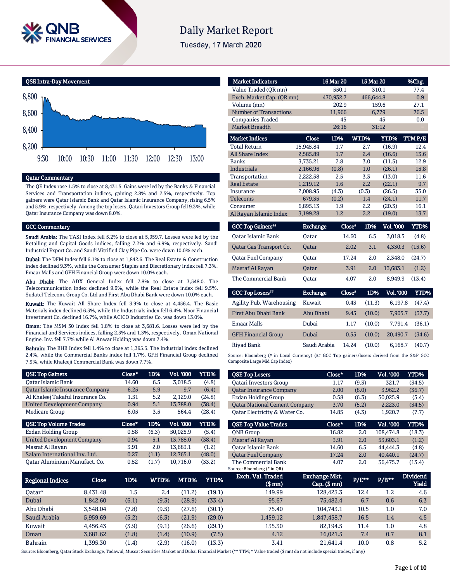

# **Daily Market Report**

Tuesday, 17 March 2020



#### Qatar Commentary

The QE Index rose 1.5% to close at 8,431.5. Gains were led by the Banks & Financial Services and Transportation indices, gaining 2.8% and 2.5%, respectively. Top gainers were Qatar Islamic Bank and Qatar Islamic Insurance Company, rising 6.5% and 5.9%, respectively. Among the top losers, Qatari Investors Group fell 9.3%, while Qatar Insurance Company was down 8.0%.

#### GCC Commentary

Saudi Arabia: The TASI Index fell 5.2% to close at 5,959.7. Losses were led by the Retailing and Capital Goods indices, falling 7.2% and 6.9%, respectively. Saudi Industrial Export Co. and Saudi Vitrified Clay Pipe Co. were down 10.0% each.

Dubai: The DFM Index fell 6.1% to close at 1,842.6. The Real Estate & Construction index declined 9.3%, while the Consumer Staples and Discretionary index fell 7.3%. Emaar Malls and GFH Financial Group were down 10.0% each.

Abu Dhabi: The ADX General Index fell 7.8% to close at 3,548.0. The Telecommunication index declined 9.9%, while the Real Estate index fell 9.5%. Sudatel Telecom. Group Co. Ltd and First Abu Dhabi Bank were down 10.0% each.

Kuwait: The Kuwait All Share Index fell 3.9% to close at 4,456.4. The Basic Materials index declined 6.5%, while the Industrials index fell 6.4%. Noor Financial Investment Co. declined 16.7%, while ACICO Industries Co. was down 13.0%.

Oman: The MSM 30 Index fell 1.8% to close at 3,681.6. Losses were led by the Financial and Services indices, falling 2.5% and 1.3%, respectively. Oman National Engine. Inv. fell 7.7% while Al Anwar Holding was down 7.4%.

Bahrain: The BHB Index fell 1.4% to close at 1,395.3. The Industrial index declined 2.4%, while the Commercial Banks index fell 1.7%. GFH Financial Group declined 7.9%, while Khaleeji Commercial Bank was down 7.7%.

| <b>QSE Top Gainers</b>            | $Close*$ | 1D%   | Vol. '000 | YTD%   |
|-----------------------------------|----------|-------|-----------|--------|
| Oatar Islamic Bank                | 14.60    | 6.5   | 3,018.5   | (4.8)  |
| Qatar Islamic Insurance Company   | 6.25     | 5.9   | 9.7       | (6.4)  |
| Al Khaleej Takaful Insurance Co.  | 1.51     | 5.2   | 2,129.0   | (24.8) |
| <b>United Development Company</b> | 0.94     | 5.1   | 13,788.0  | (38.4) |
| Medicare Group                    | 6.05     | 3.5   | 564.4     | (28.4) |
|                                   |          |       |           |        |
| <b>QSE Top Volume Trades</b>      | Close*   | 1D%   | Vol. '000 | YTD%   |
| Ezdan Holding Group               | 0.58     | (6.3) | 50,025.9  | (5.4)  |
| <b>United Development Company</b> | 0.94     | 5.1   | 13,788.0  | (38.4) |
| Masraf Al Rayan                   | 3.91     | 2.0   | 13.683.1  | (1.2)  |
| Salam International Inv. Ltd.     | 0.27     | (1.1) | 12,765.1  | (48.0) |

| <b>Market Indicators</b>  |           | 16 Mar 20 | 15 Mar 20   |        | %Chg.  |
|---------------------------|-----------|-----------|-------------|--------|--------|
| Value Traded (QR mn)      |           | 550.1     | 310.1       | 77.4   |        |
| Exch. Market Cap. (QR mn) | 470,932.7 | 466,644.8 |             | 0.9    |        |
| Volume (mn)               |           | 202.9     |             | 159.6  | 27.1   |
| Number of Transactions    |           | 11,966    |             | 6,779  | 76.5   |
| <b>Companies Traded</b>   |           | 45        |             | 45     | 0.0    |
| <b>Market Breadth</b>     | 26:16     |           | 31:12       |        |        |
| <b>Market Indices</b>     | Close     | 1D%       | <b>WTD%</b> | YTD%   | TTMP/E |
| <b>Total Return</b>       | 15.945.84 | 1.7       | 2.7         | (16.9) | 12.4   |
| All Share Index           | 2,585.89  | 1.7       | 2.4         | (16.6) | 13.6   |
| <b>Banks</b>              | 3,735.21  | 2.8       | 3.0         | (11.5) | 12.9   |
| <b>Industrials</b>        | 2,166.96  | (0.8)     | 1.0         | (26.1) | 15.8   |
| Transportation            | 2,222.58  | 2.5       | 3.3         | (13.0) | 11.6   |
| <b>Real Estate</b>        | 1.219.12  | 1.6       | 2.2         | (22.1) | 9.7    |
| Insurance                 | 2.008.95  | (4.3)     | (0.3)       | (26.5) | 35.0   |
| <b>Telecoms</b>           | 679.35    | (0.2)     | 1.4         | (24.1) | 11.7   |
| Consumer                  | 6,895.13  | 1.9       | 2.2         | (20.3) | 16.1   |
| Al Rayan Islamic Index    | 3.199.28  | 1.2       | 2.2         | (19.0) | 13.7   |

| <b>GCC Top Gainers**</b>  | <b>Exchange</b> | Close* | 1D% | <b>Vol. '000</b> | YTD%   |
|---------------------------|-----------------|--------|-----|------------------|--------|
| <b>Oatar Islamic Bank</b> | Oatar           | 14.60  | 6.5 | 3.018.5          | (4.8)  |
| Qatar Gas Transport Co.   | <b>Oatar</b>    | 2.02   | 3.1 | 4.330.3          | (15.6) |
| Oatar Fuel Company        | Oatar           | 17.24  | 2.0 | 2.348.0          | (24.7) |
| Masraf Al Rayan           | <b>Oatar</b>    | 3.91   | 2.0 | 13.683.1         | (1.2)  |
| The Commercial Bank       | Oatar           | 4.07   | 2.0 | 8.949.9          | (13.4) |

| <b>GCC Top Losers**</b>    | <b>Exchange</b> | Close* | 1D%    | <b>Vol. '000</b> | YTD%   |
|----------------------------|-----------------|--------|--------|------------------|--------|
| Agility Pub. Warehousing   | Kuwait          | 0.43   | (11.3) | 6.197.8          | (47.4) |
| First Abu Dhabi Bank       | Abu Dhabi       | 9.45   | (10.0) | 7.905.7          | (37.7) |
| <b>Emaar Malls</b>         | Dubai           | 1.17   | (10.0) | 7.791.4          | (36.1) |
| <b>GFH Financial Group</b> | Dubai           | 0.55   | (10.0) | 20.490.7         | (34.6) |
| Rivad Bank                 | Saudi Arabia    | 14.24  | (10.0) | 6.168.7          | (40.7) |

Source: Bloomberg (# in Local Currency) (## GCC Top gainers/losers derived from the S&P GCC Composite Large Mid Cap Index)

| <b>QSE Top Losers</b>                | Close* | 1D%   | Vol. '000 | <b>YTD%</b> |
|--------------------------------------|--------|-------|-----------|-------------|
| <b>Qatari Investors Group</b>        | 1.17   | (9.3) | 321.7     | (34.5)      |
| <b>Qatar Insurance Company</b>       | 2.00   | (8.0) | 3.962.2   | (36.7)      |
| Ezdan Holding Group                  | 0.58   | (6.3) | 50,025.9  | (5.4)       |
| <b>Qatar National Cement Company</b> | 3.70   | (5.2) | 2,223.0   | (34.5)      |
| Qatar Electricity & Water Co.        | 14.85  | (4.3) | 1,920.7   | (7.7)       |
|                                      |        |       |           |             |
|                                      |        |       |           |             |
| <b>OSE Top Value Trades</b>          | Close* | 1D%   | Val. '000 | YTD%        |
| <b>ONB</b> Group                     | 16.82  | 2.0   | 108,474.8 | (18.3)      |
| Masraf Al Rayan                      | 3.91   | 2.0   | 53,603.1  | (1.2)       |
| Oatar Islamic Bank                   | 14.60  | 6.5   | 44.444.3  | (4.8)       |
| <b>Qatar Fuel Company</b>            | 17.24  | 2.0   | 40,440.1  | (24.7)      |

| Regional Indices | Close    | 1D%   | WTD%  | MTD%   | YTD%   | Exch. Val. Traded<br>(\$ mn) | <b>Exchange Mkt.</b><br>$Cap.$ (\$ mn) | $P/E***$ | $P/B***$ | <b>Dividend</b><br><b>Yield</b> |
|------------------|----------|-------|-------|--------|--------|------------------------------|----------------------------------------|----------|----------|---------------------------------|
| Oatar*           | 8.431.48 | 1.5   | 2.4   | 11.2)  | (19.1) | 149.99                       | 128,423.3                              | 12.4     | $1.2\,$  | 4.6                             |
| Dubai            | 1.842.60 | (6.1) | (9.3) | (28.9) | (33.4) | 95.67                        | 75.482.4                               | 6.7      | 0.6      | 6.3                             |
| Abu Dhabi        | 3.548.04 | (7.8) | (9.5) | (27.6) | (30.1) | 75.40                        | 104.743.1                              | 10.5     | 1.0      | 7.0                             |
| Saudi Arabia     | 5,959.69 | (5.2) | (6.3) | (21.9) | (29.0) | 1,459.12                     | 1,847,458.7                            | 16.5     | 1.4      | 4.5                             |
| Kuwait           | 4.456.43 | (3.9) | (9.1) | (26.6) | (29.1) | 135.30                       | 82.194.5                               | 11.4     | 1.0      | 4.8                             |
| Oman             | 3.681.62 | (1.8) | (1.4) | (10.9) | (7.5)  | 4.12                         | 16.021.5                               | 7.4      | 0.7      | 8.1                             |
| <b>Bahrain</b>   | 1,395.30 | (1.4) | (2.9) | (16.0) | (13.3) | 3.41                         | 21.641.4                               | 10.0     | 0.8      | 5.2                             |

Source: Bloomberg (\* in QR)

Source: Bloomberg, Qatar Stock Exchange, Tadawul, Muscat Securities Market and Dubai Financial Market (\*\* TTM; \* Value traded (\$ mn) do not include special trades, if any)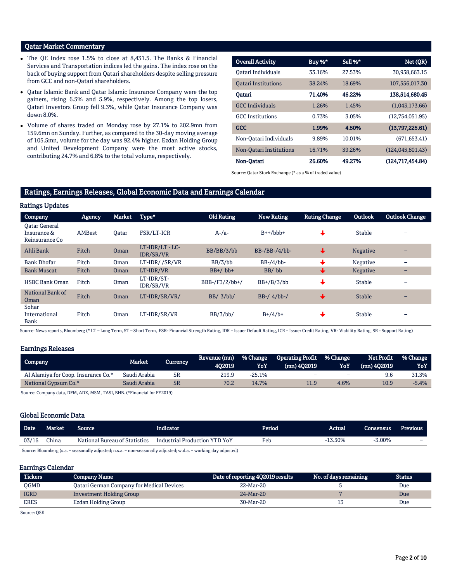# Qatar Market Commentary

- The QE Index rose 1.5% to close at 8,431.5. The Banks & Financial Services and Transportation indices led the gains. The index rose on the back of buying support from Qatari shareholders despite selling pressure from GCC and non-Qatari shareholders.
- Qatar Islamic Bank and Qatar Islamic Insurance Company were the top gainers, rising 6.5% and 5.9%, respectively. Among the top losers, Qatari Investors Group fell 9.3%, while Qatar Insurance Company was down 8.0%.
- Volume of shares traded on Monday rose by 27.1% to 202.9mn from 159.6mn on Sunday. Further, as compared to the 30-day moving average of 105.5mn, volume for the day was 92.4% higher. Ezdan Holding Group and United Development Company were the most active stocks, contributing 24.7% and 6.8% to the total volume, respectively.

| <b>Overall Activity</b>    | Buy %* | Sell %* | Net (QR)           |
|----------------------------|--------|---------|--------------------|
| Oatari Individuals         | 33.16% | 27.53%  | 30,958,663.15      |
| <b>Oatari Institutions</b> | 38.24% | 18.69%  | 107,556,017.30     |
| Oatari                     | 71.40% | 46.22%  | 138,514,680.45     |
| <b>GCC</b> Individuals     | 1.26%  | 1.45%   | (1,043,173.66)     |
| <b>GCC</b> Institutions    | 0.73%  | 3.05%   | (12,754,051.95)    |
| <b>GCC</b>                 | 1.99%  | 4.50%   | (13,797,225.61)    |
| Non-Oatari Individuals     | 9.89%  | 10.01%  | (671.653.41)       |
| Non-Oatari Institutions    | 16.71% | 39.26%  | (124, 045, 801.43) |
| Non-Oatari                 | 26.60% | 49.27%  | (124, 717, 454.84) |

Source: Qatar Stock Exchange (\* as a % of traded value)

# Ratings, Earnings Releases, Global Economic Data and Earnings Calendar

| <b>Ratings Updates</b>                         |        |              |                            |                   |                 |                      |               |                       |
|------------------------------------------------|--------|--------------|----------------------------|-------------------|-----------------|----------------------|---------------|-----------------------|
| Company                                        | Agency | Market       | Type*                      | <b>Old Rating</b> | New Rating      | <b>Rating Change</b> | Outlook       | <b>Outlook Change</b> |
| Oatar General<br>Insurance &<br>Reinsurance Co | AMBest | <b>Oatar</b> | FSR/LT-ICR                 | $A$ -/a-          | $B++/bbb+$      |                      | Stable        | -                     |
| Ahli Bank                                      | Fitch  | Oman         | LT-IDR/LT-LC-<br>IDR/SR/VR | BB/BB/3/bb        | $BB-/BB-/4/bb-$ | ╈                    | Negative      |                       |
| <b>Bank Dhofar</b>                             | Fitch  | Oman         | LT-IDR//SR/VR              | BB/3/bb           | $BB-/4/bb$ -    |                      | Negative      |                       |
| <b>Bank Muscat</b>                             | Fitch  | Oman         | LT-IDR/VR                  | $BB+/bb+$         | BB/bb           | ╈                    | Negative      |                       |
| <b>HSBC Bank Oman</b>                          | Fitch  | Oman         | LT-IDR/ST-<br>IDR/SR/VR    | BBB-/F3/2/bb+/    | $BB+/B/3/bb$    |                      | Stable        |                       |
| National Bank of<br>Oman                       | Fitch  | Oman         | LT-IDR/SR/VR/              | BB/3/bb/          | $BB-/ 4/bb-/$   | +                    | <b>Stable</b> |                       |
| Sohar<br>International<br>Bank                 | Fitch  | Oman         | LT-IDR/SR/VR               | BB/3/bb/          | $B+/4/b+$       |                      | <b>Stable</b> | -                     |

Source: News reports, Bloomberg (\* LT – Long Term, ST – Short Term, FSR- Financial Strength Rating, IDR – Issuer Default Rating, ICR – Issuer Credit Rating, VR- Viability Rating, SR - Support Rating)

#### Earnings Releases

| <b>Company</b>                      | <b>Market</b> | Currency  | Revenue (mn)<br>402019 | <b>% Change</b><br>YoY | <b>Operating Profit</b><br>(mn) 402019 | <b>1% Change</b><br>YoY  | Net Profit<br>$(mn)$ 402019 | % Change<br>YoY |
|-------------------------------------|---------------|-----------|------------------------|------------------------|----------------------------------------|--------------------------|-----------------------------|-----------------|
| Al Alamiya for Coop. Insurance Co.* | Saudi Arabia  | SR        | 219.9                  | $-25.1%$               | -                                      | $\overline{\phantom{0}}$ | У.Ь                         | 31.3%           |
| National Gypsum Co.*                | Saudi Arabia  | <b>SR</b> | 70.2                   | 14.7%                  |                                        | 4.6%                     | 10.9                        | $-5.4%$         |

Source: Company data, DFM, ADX, MSM, TASI, BHB. (\*Financial for FY2019)

#### Global Economic Data

| <b>Date</b> | <b>Market</b> | Source                        | Indicator                     | Period | Actual  | Consensus | Previous |
|-------------|---------------|-------------------------------|-------------------------------|--------|---------|-----------|----------|
| 03/16       | China         | National Bureau of Statistics | Industrial Production YTD YoY | Feb    | -13.50% | 3.00%     | -        |

Source: Bloomberg (s.a. = seasonally adjusted; n.s.a. = non-seasonally adjusted; w.d.a. = working day adjusted)

#### Earnings Calendar

| <b>Tickers</b> | <b>Company Name</b>                              | Date of reporting 4Q2019 results | No. of days remaining | <b>Status</b> |
|----------------|--------------------------------------------------|----------------------------------|-----------------------|---------------|
| <b>OGMD</b>    | <b>Qatari German Company for Medical Devices</b> | 22-Mar-20                        |                       | Due           |
| <b>IGRD</b>    | Investment Holding Group                         | 24-Mar-20                        |                       | Due           |
| <b>ERES</b>    | Ezdan Holding Group                              | 30-Mar-20                        |                       | Due           |

Source: QSE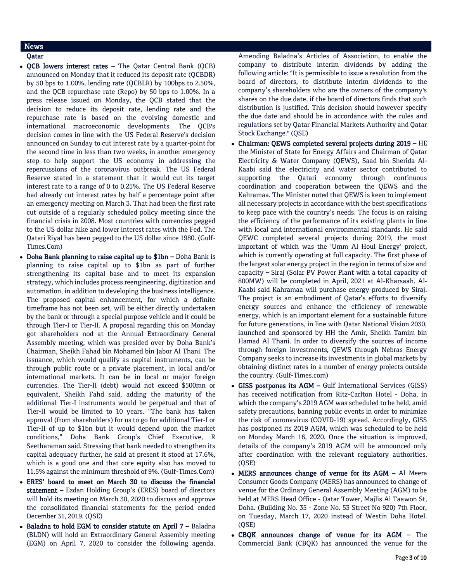# News

- Qatar
- QCB lowers interest rates The Qatar Central Bank (QCB) announced on Monday that it reduced its deposit rate (QCBDR) by 50 bps to 1.00%, lending rate (QCBLR) by 100bps to 2.50%, and the QCB repurchase rate (Repo) by 50 bps to 1.00%. In a press release issued on Monday, the QCB stated that the decision to reduce its deposit rate, lending rate and the repurchase rate is based on the evolving domestic and international macroeconomic developments. The QCB's decision comes in line with the US Federal Reserve's decision announced on Sunday to cut interest rate by a quarter-point for the second time in less than two weeks, in another emergency step to help support the US economy in addressing the repercussions of the coronavirus outbreak. The US Federal Reserve stated in a statement that it would cut its target interest rate to a range of 0 to 0.25%. The US Federal Reserve had already cut interest rates by half a percentage point after an emergency meeting on March 3. That had been the first rate cut outside of a regularly scheduled policy meeting since the financial crisis in 2008. Most countries with currencies pegged to the US dollar hike and lower interest rates with the Fed. The Qatari Riyal has been pegged to the US dollar since 1980. (Gulf-Times.Com)
- Doha Bank planning to raise capital up to \$1bn Doha Bank is planning to raise capital up to \$1bn as part of further strengthening its capital base and to meet its expansion strategy, which includes process reengineering, digitization and automation, in addition to developing the business intelligence. The proposed capital enhancement, for which a definite timeframe has not been set, will be either directly undertaken by the bank or through a special purpose vehicle and it could be through Tier-I or Tier-II. A proposal regarding this on Monday got shareholders nod at the Annual Extraordinary General Assembly meeting, which was presided over by Doha Bank's Chairman, Sheikh Fahad bin Mohamed bin Jabor Al Thani. The issuance, which would qualify as capital instruments, can be through public route or a private placement, in local and/or international markets. It can be in local or major foreign currencies. The Tier-II (debt) would not exceed \$500mn or equivalent, Sheikh Fahd said, adding the maturity of the additional Tier-I instruments would be perpetual and that of Tier-II would be limited to 10 years. "The bank has taken approval (from shareholders) for us to go for additional Tier-I or Tier-II of up to \$1bn but it would depend upon the market conditions," Doha Bank Group's Chief Executive, R Seetharaman said. Stressing that bank needed to strengthen its capital adequacy further, he said at present it stood at 17.6%, which is a good one and that core equity also has moved to 11.5% against the minimum threshold of 9%. (Gulf-Times.Com)
- ERES' board to meet on March 30 to discuss the financial statement – Ezdan Holding Group's (ERES) board of directors will hold its meeting on March 30, 2020 to discuss and approve the consolidated financial statements for the period ended December 31, 2019. (QSE)
- Baladna to hold EGM to consider statute on April 7 Baladna (BLDN) will hold an Extraordinary General Assembly meeting (EGM) on April 7, 2020 to consider the following agenda.

Amending Baladna's Articles of Association, to enable the company to distribute interim dividends by adding the following article: "It is permissible to issue a resolution from the board of directors, to distribute interim dividends to the company's shareholders who are the owners of the company's shares on the due date, if the board of directors finds that such distribution is justified. This decision should however specify the due date and should be in accordance with the rules and regulations set by Qatar Financial Markets Authority and Qatar Stock Exchange." (QSE)

- Chairman: QEWS completed several projects during 2019 HE the Minister of State for Energy Affairs and Chairman of Qatar Electricity & Water Company (QEWS), Saad bin Sherida Al-Kaabi said the electricity and water sector contributed to supporting the Qatari economy through continuous coordination and cooperation between the QEWS and the Kahramaa. The Minister noted that QEWS is keen to implement all necessary projects in accordance with the best specifications to keep pace with the country's needs. The focus is on raising the efficiency of the performance of its existing plants in line with local and international environmental standards. He said QEWC completed several projects during 2019, the most important of which was the 'Umm Al Houl Energy' project, which is currently operating at full capacity. The first phase of the largest solar energy project in the region in terms of size and capacity – Siraj (Solar PV Power Plant with a total capacity of 800MW) will be completed in April, 2021 at Al-Kharsaah. Al-Kaabi said Kahramaa will purchase energy produced by Siraj. The project is an embodiment of Qatar's efforts to diversify energy sources and enhance the efficiency of renewable energy, which is an important element for a sustainable future for future generations, in line with Qatar National Vision 2030, launched and sponsored by HH the Amir, Sheikh Tamim bin Hamad Al Thani. In order to diversify the sources of income through foreign investments, QEWS through Nebras Energy Company seeks to increase its investments in global markets by obtaining distinct rates in a number of energy projects outside the country. (Gulf-Times.com)
- GISS postpones its AGM Gulf International Services (GISS) has received notification from Ritz-Carlton Hotel - Doha, in which the company's 2019 AGM was scheduled to be held, amid safety precautions, banning public events in order to minimize the risk of coronavirus (COVID-19) spread. Accordingly, GISS has postponed its 2019 AGM, which was scheduled to be held on Monday March 16, 2020. Once the situation is improved, details of the company's 2019 AGM will be announced only after coordination with the relevant regulatory authorities. (QSE)
- MERS announces change of venue for its AGM Al Meera Consumer Goods Company (MERS) has announced to change of venue for the Ordinary General Assembly Meeting (AGM) to be held at MERS Head Office - Qatar Tower, Majlis Al Taawon St, Doha. (Building No. 35 - Zone No. 53 Street No 920) 7th Floor, on Tuesday, March 17, 2020 instead of Westin Doha Hotel. (QSE)
- CBQK announces change of venue for its AGM The Commercial Bank (CBQK) has announced the venue for the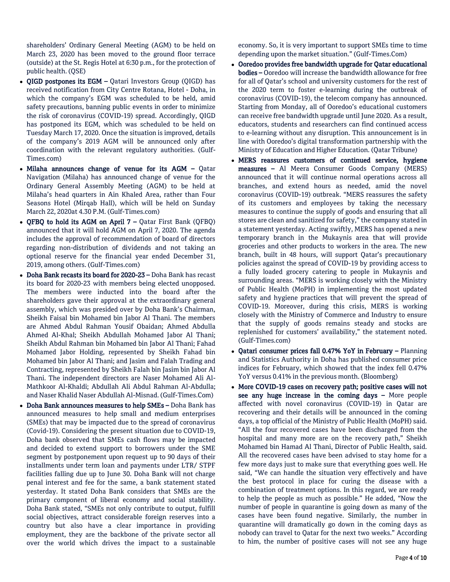shareholders' Ordinary General Meeting (AGM) to be held on March 23, 2020 has been moved to the ground floor terrace (outside) at the St. Regis Hotel at 6:30 p.m., for the protection of public health. (QSE)

- QIGD postpones its EGM Qatari Investors Group (QIGD) has received notification from City Centre Rotana, Hotel - Doha, in which the company's EGM was scheduled to be held, amid safety precautions, banning public events in order to minimize the risk of coronavirus (COVID-19) spread. Accordingly, QIGD has postponed its EGM, which was scheduled to be held on Tuesday March 17, 2020. Once the situation is improved, details of the company's 2019 AGM will be announced only after coordination with the relevant regulatory authorities. (Gulf-Times.com)
- Milaha announces change of venue for its AGM Qatar Navigation (Milaha) has announced change of venue for the Ordinary General Assembly Meeting (AGM) to be held at Milaha's head quarters in Ain Khaled Area, rather than Four Seasons Hotel (Mirqab Hall), which will be held on Sunday March 22, 2020at 4.30 P.M. (Gulf-Times.com)
- QFBQ to hold its AGM on April 7 Qatar First Bank (QFBQ) announced that it will hold AGM on April 7, 2020. The agenda includes the approval of recommendation of board of directors regarding non-distribution of dividends and not taking an optional reserve for the financial year ended December 31, 2019, among others. (Gulf-Times.com)
- Doha Bank recasts its board for 2020-23 Doha Bank has recast its board for 2020-23 with members being elected unopposed. The members were inducted into the board after the shareholders gave their approval at the extraordinary general assembly, which was presided over by Doha Bank's Chairman, Sheikh Faisal bin Mohamed bin Jabor Al Thani. The members are Ahmed Abdul Rahman Yousif Obaidan; Ahmed Abdulla Ahmed Al-Khal; Sheikh Abdullah Mohamed Jabor Al Thani; Sheikh Abdul Rahman bin Mohamed bin Jabor Al Thani; Fahad Mohamed Jabor Holding, represented by Sheikh Fahad bin Mohamed bin Jabor Al Thani; and Jasim and Falah Trading and Contracting, represented by Sheikh Falah bin Jasim bin Jabor Al Thani. The independent directors are Naser Mohamed Ali Al-Mathkoor Al-Khaldi; Abdullah Ali Abdul Rahman Al-Abdulla; and Naser Khalid Naser Abdullah Al-Misnad. (Gulf-Times.Com)
- Doha Bank announces measures to help SMEs Doha Bank has announced measures to help small and medium enterprises (SMEs) that may be impacted due to the spread of coronavirus (Covid-19). Considering the present situation due to COVID-19, Doha bank observed that SMEs cash flows may be impacted and decided to extend support to borrowers under the SME segment by postponement upon request up to 90 days of their installments under term loan and payments under LTR/ STPF facilities falling due up to June 30. Doha Bank will not charge penal interest and fee for the same, a bank statement stated yesterday. It stated Doha Bank considers that SMEs are the primary component of liberal economy and social stability. Doha Bank stated, "SMEs not only contribute to output, fulfill social objectives, attract considerable foreign reserves into a country but also have a clear importance in providing employment, they are the backbone of the private sector all over the world which drives the impact to a sustainable

economy. So, it is very important to support SMEs time to time depending upon the market situation." (Gulf-Times.Com)

- Ooredoo provides free bandwidth upgrade for Qatar educational bodies – Ooredoo will increase the bandwidth allowance for free for all of Qatar's school and university customers for the rest of the 2020 term to foster e-learning during the outbreak of coronavirus (COVID-19), the telecom company has announced. Starting from Monday, all of Ooredoo's educational customers can receive free bandwidth upgrade until June 2020. As a result, educators, students and researchers can find continued access to e-learning without any disruption. This announcement is in line with Ooredoo's digital transformation partnership with the Ministry of Education and Higher Education. (Qatar Tribune)
- MERS reassures customers of continued service, hygiene measures – Al Meera Consumer Goods Company (MERS) announced that it will continue normal operations across all branches, and extend hours as needed, amid the novel coronavirus (COVID-19) outbreak. "MERS reassures the safety of its customers and employees by taking the necessary measures to continue the supply of goods and ensuring that all stores are clean and sanitized for safety," the company stated in a statement yesterday. Acting swiftly, MERS has opened a new temporary branch in the Mukaynis area that will provide groceries and other products to workers in the area. The new branch, built in 48 hours, will support Qatar's precautionary policies against the spread of COVID-19 by providing access to a fully loaded grocery catering to people in Mukaynis and surrounding areas. "MERS is working closely with the Ministry of Public Health (MoPH) in implementing the most updated safety and hygiene practices that will prevent the spread of COVID-19. Moreover, during this crisis, MERS is working closely with the Ministry of Commerce and Industry to ensure that the supply of goods remains steady and stocks are replenished for customers' availability," the statement noted. (Gulf-Times.com)
- Qatari consumer prices fall 0.47% YoY in February Planning and Statistics Authority in Doha has published consumer price indices for February, which showed that the index fell 0.47% YoY versus 0.41% in the previous month. (Bloomberg)
- More COVID-19 cases on recovery path; positive cases will not see any huge increase in the coming days – More people affected with novel coronavirus (COVID-19) in Qatar are recovering and their details will be announced in the coming days, a top official of the Ministry of Public Health (MoPH) said. "All the four recovered cases have been discharged from the hospital and many more are on the recovery path," Sheikh Mohamed bin Hamad Al Thani, Director of Public Health, said. All the recovered cases have been advised to stay home for a few more days just to make sure that everything goes well. He said, "We can handle the situation very effectively and have the best protocol in place for curing the disease with a combination of treatment options. In this regard, we are ready to help the people as much as possible." He added, "Now the number of people in quarantine is going down as many of the cases have been found negative. Similarly, the number in quarantine will dramatically go down in the coming days as nobody can travel to Qatar for the next two weeks." According to him, the number of positive cases will not see any huge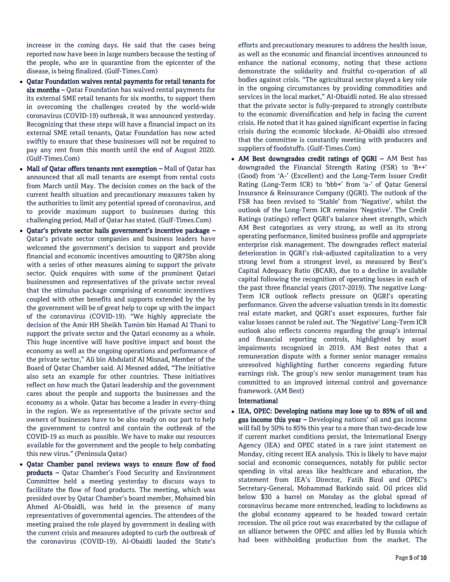increase in the coming days. He said that the cases being reported now have been in large numbers because the testing of the people, who are in quarantine from the epicenter of the disease, is being finalized. (Gulf-Times.Com)

- Qatar Foundation waives rental payments for retail tenants for six months – Qatar Foundation has waived rental payments for its external SME retail tenants for six months, to support them in overcoming the challenges created by the world-wide coronavirus (COVID-19) outbreak, it was announced yesterday. Recognizing that these steps will have a financial impact on its external SME retail tenants, Qatar Foundation has now acted swiftly to ensure that these businesses will not be required to pay any rent from this month until the end of August 2020. (Gulf-Times.Com)
- Mall of Qatar offers tenants rent exemption Mall of Qatar has announced that all mall tenants are exempt from rental costs from March until May. The decision comes on the back of the current health situation and precautionary measures taken by the authorities to limit any potential spread of coronavirus, and to provide maximum support to businesses during this challenging period, Mall of Qatar has stated. (Gulf-Times.Com)
- Qatar's private sector hails government's incentive package Qatar's private sector companies and business leaders have welcomed the government's decision to support and provide financial and economic incentives amounting to QR75bn along with a series of other measures aiming to support the private sector. Quick enquires with some of the prominent Qatari businessmen and representatives of the private sector reveal that the stimulus package comprising of economic incentives coupled with other benefits and supports extended by the by the government will be of great help to cope up with the impact of the coronavirus (COVID-19). "We highly appreciate the decision of the Amir HH Sheikh Tamim bin Hamad Al Thani to support the private sector and the Qatari economy as a whole. This huge incentive will have positive impact and boost the economy as well as the ongoing operations and performance of the private sector," Ali bin Abdulatif Al Misnad, Member of the Board of Qatar Chamber said. Al Mesned added, "The initiative also sets an example for other countries. These initiatives reflect on how much the Qatari leadership and the government cares about the people and supports the businesses and the economy as a whole. Qatar has become a leader in every-thing in the region. We as representative of the private sector and owners of businesses have to be also ready on our part to help the government to control and contain the outbreak of the COVID-19 as much as possible. We have to make our resources available for the government and the people to help combating this new virus." (Peninsula Qatar)
- Qatar Chamber panel reviews ways to ensure flow of food products – Qatar Chamber's Food Security and Environment Committee held a meeting yesterday to discuss ways to facilitate the flow of food products. The meeting, which was presided over by Qatar Chamber's board member, Mohamed bin Ahmed Al-Obaidli, was held in the presence of many representatives of governmental agencies. The attendees of the meeting praised the role played by government in dealing with the current crisis and measures adopted to curb the outbreak of the coronavirus (COVID-19). Al-Obaidli lauded the State's

efforts and precautionary measures to address the health issue, as well as the economic and financial incentives announced to enhance the national economy, noting that these actions demonstrate the solidarity and fruitful co-operation of all bodies against crisis. "The agricultural sector played a key role in the ongoing circumstances by providing commodities and services in the local market," Al-Obaidli noted. He also stressed that the private sector is fully-prepared to strongly contribute to the economic diversification and help in facing the current crisis. He noted that it has gained significant expertise in facing crisis during the economic blockade. Al-Obaidli also stressed that the committee is constantly meeting with producers and suppliers of foodstuffs. (Gulf-Times.Com)

 AM Best downgrades credit ratings of QGRI – AM Best has downgraded the Financial Strength Rating (FSR) to 'B++' (Good) from 'A-' (Excellent) and the Long-Term Issuer Credit Rating (Long-Term ICR) to 'bbb+' from 'a-' of Qatar General Insurance & Reinsurance Company (QGRI). The outlook of the FSR has been revised to 'Stable' from 'Negative', whilst the outlook of the Long-Term ICR remains 'Negative'. The Credit Ratings (ratings) reflect QGRI's balance sheet strength, which AM Best categorizes as very strong, as well as its strong operating performance, limited business profile and appropriate enterprise risk management. The downgrades reflect material deterioration in QGRI's risk-adjusted capitalization to a very strong level from a strongest level, as measured by Best's Capital Adequacy Ratio (BCAR), due to a decline in available capital following the recognition of operating losses in each of the past three financial years (2017-2019). The negative Long-Term ICR outlook reflects pressure on QGRI's operating performance. Given the adverse valuation trends in its domestic real estate market, and QGRI's asset exposures, further fair value losses cannot be ruled out. The 'Negative' Long-Term ICR outlook also reflects concerns regarding the group's internal and financial reporting controls, highlighted by asset impairments recognized in 2019. AM Best notes that a remuneration dispute with a former senior manager remains unresolved highlighting further concerns regarding future earnings risk. The group's new senior management team has committed to an improved internal control and governance framework. (AM Best)

## International

 IEA, OPEC: Developing nations may lose up to 85% of oil and gas income this year – Developing nations' oil and gas income will fall by 50% to 85% this year to a more than two-decade low if current market conditions persist, the International Energy Agency (IEA) and OPEC stated in a rare joint statement on Monday, citing recent IEA analysis. This is likely to have major social and economic consequences, notably for public sector spending in vital areas like healthcare and education, the statement from IEA's Director, Fatih Birol and OPEC's Secretary-General, Mohammad Barkindo said. Oil prices slid below \$30 a barrel on Monday as the global spread of coronavirus became more entrenched, leading to lockdowns as the global economy appeared to be headed toward certain recession. The oil price rout was exacerbated by the collapse of an alliance between the OPEC and allies led by Russia which had been withholding production from the market. The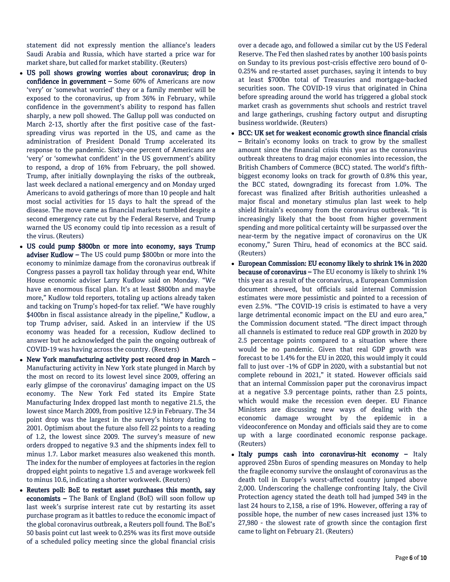statement did not expressly mention the alliance's leaders Saudi Arabia and Russia, which have started a price war for market share, but called for market stability. (Reuters)

- US poll shows growing worries about coronavirus; drop in confidence in government - Some 60% of Americans are now 'very' or 'somewhat worried' they or a family member will be exposed to the coronavirus, up from 36% in February, while confidence in the government's ability to respond has fallen sharply, a new poll showed. The Gallup poll was conducted on March 2-13, shortly after the first positive case of the fastspreading virus was reported in the US, and came as the administration of President Donald Trump accelerated its response to the pandemic. Sixty-one percent of Americans are 'very' or 'somewhat confident' in the US government's ability to respond, a drop of 16% from February, the poll showed. Trump, after initially downplaying the risks of the outbreak, last week declared a national emergency and on Monday urged Americans to avoid gatherings of more than 10 people and halt most social activities for 15 days to halt the spread of the disease. The move came as financial markets tumbled despite a second emergency rate cut by the Federal Reserve, and Trump warned the US economy could tip into recession as a result of the virus. (Reuters)
- US could pump \$800bn or more into economy, says Trump adviser Kudlow – The US could pump \$800bn or more into the economy to minimize damage from the coronavirus outbreak if Congress passes a payroll tax holiday through year end, White House economic adviser Larry Kudlow said on Monday. "We have an enormous fiscal plan. It's at least \$800bn and maybe more," Kudlow told reporters, totaling up actions already taken and tacking on Trump's hoped-for tax relief. "We have roughly \$400bn in fiscal assistance already in the pipeline," Kudlow, a top Trump adviser, said. Asked in an interview if the US economy was headed for a recession, Kudlow declined to answer but he acknowledged the pain the ongoing outbreak of COVID-19 was having across the country. (Reuters)
- New York manufacturing activity post record drop in March Manufacturing activity in New York state plunged in March by the most on record to its lowest level since 2009, offering an early glimpse of the coronavirus' damaging impact on the US economy. The New York Fed stated its Empire State Manufacturing Index dropped last month to negative 21.5, the lowest since March 2009, from positive 12.9 in February. The 34 point drop was the largest in the survey's history dating to 2001. Optimism about the future also fell 22 points to a reading of 1.2, the lowest since 2009. The survey's measure of new orders dropped to negative 9.3 and the shipments index fell to minus 1.7. Labor market measures also weakened this month. The index for the number of employees at factories in the region dropped eight points to negative 1.5 and average workweek fell to minus 10.6, indicating a shorter workweek. (Reuters)
- Reuters poll: BoE to restart asset purchases this month, say economists – The Bank of England (BoE) will soon follow up last week's surprise interest rate cut by restarting its asset purchase program as it battles to reduce the economic impact of the global coronavirus outbreak, a Reuters poll found. The BoE's 50 basis point cut last week to 0.25% was its first move outside of a scheduled policy meeting since the global financial crisis

over a decade ago, and followed a similar cut by the US Federal Reserve. The Fed then slashed rates by another 100 basis points on Sunday to its previous post-crisis effective zero bound of 0- 0.25% and re-started asset purchases, saying it intends to buy at least \$700bn total of Treasuries and mortgage-backed securities soon. The COVID-19 virus that originated in China before spreading around the world has triggered a global stock market crash as governments shut schools and restrict travel and large gatherings, crushing factory output and disrupting business worldwide. (Reuters)

- BCC: UK set for weakest economic growth since financial crisis – Britain's economy looks on track to grow by the smallest amount since the financial crisis this year as the coronavirus outbreak threatens to drag major economies into recession, the British Chambers of Commerce (BCC) stated. The world's fifthbiggest economy looks on track for growth of 0.8% this year, the BCC stated, downgrading its forecast from 1.0%. The forecast was finalized after British authorities unleashed a major fiscal and monetary stimulus plan last week to help shield Britain's economy from the coronavirus outbreak. "It is increasingly likely that the boost from higher government spending and more political certainty will be surpassed over the near-term by the negative impact of coronavirus on the UK economy," Suren Thiru, head of economics at the BCC said. (Reuters)
- European Commission: EU economy likely to shrink 1% in 2020 because of coronavirus - The EU economy is likely to shrink 1% this year as a result of the coronavirus, a European Commission document showed, but officials said internal Commission estimates were more pessimistic and pointed to a recession of even 2.5%. "The COVID-19 crisis is estimated to have a very large detrimental economic impact on the EU and euro area," the Commission document stated. "The direct impact through all channels is estimated to reduce real GDP growth in 2020 by 2.5 percentage points compared to a situation where there would be no pandemic. Given that real GDP growth was forecast to be 1.4% for the EU in 2020, this would imply it could fall to just over -1% of GDP in 2020, with a substantial but not complete rebound in 2021," it stated. However officials said that an internal Commission paper put the coronavirus impact at a negative 3.9 percentage points, rather than 2.5 points, which would make the recession even deeper. EU Finance Ministers are discussing new ways of dealing with the economic damage wrought by the epidemic in a videoconference on Monday and officials said they are to come up with a large coordinated economic response package. (Reuters)
- $\bullet$  Italy pumps cash into coronavirus-hit economy Italy approved 25bn Euros of spending measures on Monday to help the fragile economy survive the onslaught of coronavirus as the death toll in Europe's worst-affected country jumped above 2,000. Underscoring the challenge confronting Italy, the Civil Protection agency stated the death toll had jumped 349 in the last 24 hours to 2,158, a rise of 19%. However, offering a ray of possible hope, the number of new cases increased just 13% to 27,980 - the slowest rate of growth since the contagion first came to light on February 21. (Reuters)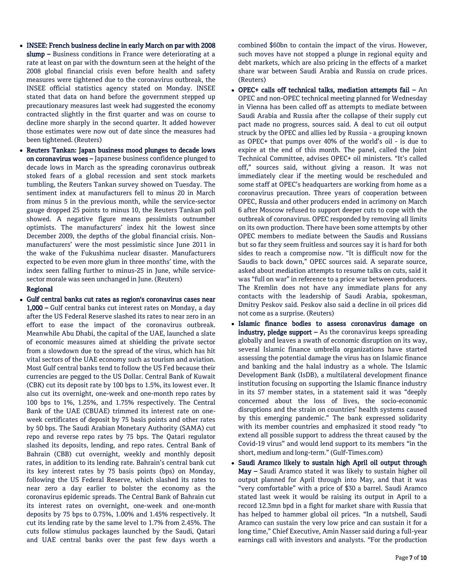- INSEE: French business decline in early March on par with 2008 slump – Business conditions in France were deteriorating at a rate at least on par with the downturn seen at the height of the 2008 global financial crisis even before health and safety measures were tightened due to the coronavirus outbreak, the INSEE official statistics agency stated on Monday. INSEE stated that data on hand before the government stepped up precautionary measures last week had suggested the economy contracted slightly in the first quarter and was on course to decline more sharply in the second quarter. It added however those estimates were now out of date since the measures had been tightened. (Reuters)
- Reuters Tankan: Japan business mood plunges to decade lows on coronavirus woes – Japanese business confidence plunged to decade lows in March as the spreading coronavirus outbreak stoked fears of a global recession and sent stock markets tumbling, the Reuters Tankan survey showed on Tuesday. The sentiment index at manufacturers fell to minus 20 in March from minus 5 in the previous month, while the service-sector gauge dropped 25 points to minus 10, the Reuters Tankan poll showed. A negative figure means pessimists outnumber optimists. The manufacturers' index hit the lowest since December 2009, the depths of the global financial crisis. Nonmanufacturers' were the most pessimistic since June 2011 in the wake of the Fukushima nuclear disaster. Manufacturers expected to be even more glum in three months' time, with the index seen falling further to minus-25 in June, while servicesector morale was seen unchanged in June. (Reuters)

### Regional

 Gulf central banks cut rates as region's coronavirus cases near 1,000 – Gulf central banks cut interest rates on Monday, a day after the US Federal Reserve slashed its rates to near zero in an effort to ease the impact of the coronavirus outbreak. Meanwhile Abu Dhabi, the capital of the UAE, launched a slate of economic measures aimed at shielding the private sector from a slowdown due to the spread of the virus, which has hit vital sectors of the UAE economy such as tourism and aviation. Most Gulf central banks tend to follow the US Fed because their currencies are pegged to the US Dollar. Central Bank of Kuwait (CBK) cut its deposit rate by 100 bps to 1.5%, its lowest ever. It also cut its overnight, one-week and one-month repo rates by 100 bps to 1%, 1.25%, and 1.75% respectively. The Central Bank of the UAE (CBUAE) trimmed its interest rate on oneweek certificates of deposit by 75 basis points and other rates by 50 bps. The Saudi Arabian Monetary Authority (SAMA) cut repo and reverse repo rates by 75 bps. The Qatari regulator slashed its deposits, lending, and repo rates. Central Bank of Bahrain (CBB) cut overnight, weekly and monthly deposit rates, in addition to its lending rate. Bahrain's central bank cut its key interest rates by 75 basis points (bps) on Monday, following the US Federal Reserve, which slashed its rates to near zero a day earlier to bolster the economy as the coronavirus epidemic spreads. The Central Bank of Bahrain cut its interest rates on overnight, one-week and one-month deposits by 75 bps to 0.75%, 1.00% and 1.45% respectively. It cut its lending rate by the same level to 1.7% from 2.45%. The cuts follow stimulus packages launched by the Saudi, Qatari and UAE central banks over the past few days worth a

combined \$60bn to contain the impact of the virus. However, such moves have not stopped a plunge in regional equity and debt markets, which are also pricing in the effects of a market share war between Saudi Arabia and Russia on crude prices. (Reuters)

- OPEC+ calls off technical talks, mediation attempts fail An OPEC and non-OPEC technical meeting planned for Wednesday in Vienna has been called off as attempts to mediate between Saudi Arabia and Russia after the collapse of their supply cut pact made no progress, sources said. A deal to cut oil output struck by the OPEC and allies led by Russia - a grouping known as OPEC+ that pumps over 40% of the world's oil - is due to expire at the end of this month. The panel, called the Joint Technical Committee, advises OPEC+ oil ministers. "It's called off," sources said, without giving a reason. It was not immediately clear if the meeting would be rescheduled and some staff at OPEC's headquarters are working from home as a coronavirus precaution. Three years of cooperation between OPEC, Russia and other producers ended in acrimony on March 6 after Moscow refused to support deeper cuts to cope with the outbreak of coronavirus. OPEC responded by removing all limits on its own production. There have been some attempts by other OPEC members to mediate between the Saudis and Russians but so far they seem fruitless and sources say it is hard for both sides to reach a compromise now. "It is difficult now for the Saudis to back down," OPEC sources said. A separate source, asked about mediation attempts to resume talks on cuts, said it was "full on war" in reference to a price war between producers. The Kremlin does not have any immediate plans for any contacts with the leadership of Saudi Arabia, spokesman, Dmitry Peskov said. Peskov also said a decline in oil prices did not come as a surprise. (Reuters)
- Islamic finance bodies to assess coronavirus damage on industry, pledge support  $-$  As the coronavirus keeps spreading globally and leaves a swath of economic disruption on its way, several Islamic finance umbrella organizations have started assessing the potential damage the virus has on Islamic finance and banking and the halal industry as a whole. The Islamic Development Bank (IsDB), a multilateral development finance institution focusing on supporting the Islamic finance industry in its 57 member states, in a statement said it was "deeply concerned about the loss of lives, the socio-economic disruptions and the strain on countries' health systems caused by this emerging pandemic." The bank expressed solidarity with its member countries and emphasized it stood ready "to extend all possible support to address the threat caused by the Covid-19 virus" and would lend support to its members "in the short, medium and long-term." (Gulf-Times.com)
- Saudi Aramco likely to sustain high April oil output through May – Saudi Aramco stated it was likely to sustain higher oil output planned for April through into May, and that it was "very comfortable" with a price of \$30 a barrel. Saudi Aramco stated last week it would be raising its output in April to a record 12.3mn bpd in a fight for market share with Russia that has helped to hammer global oil prices. "In a nutshell, Saudi Aramco can sustain the very low price and can sustain it for a long time," Chief Executive, Amin Nasser said during a full-year earnings call with investors and analysts. "For the production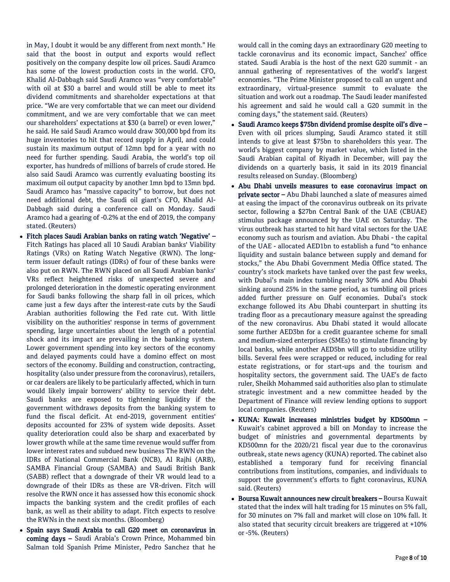in May, I doubt it would be any different from next month." He said that the boost in output and exports would reflect positively on the company despite low oil prices. Saudi Aramco has some of the lowest production costs in the world. CFO, Khalid Al-Dabbagh said Saudi Aramco was "very comfortable" with oil at \$30 a barrel and would still be able to meet its dividend commitments and shareholder expectations at that price. "We are very comfortable that we can meet our dividend commitment, and we are very comfortable that we can meet our shareholders' expectations at \$30 (a barrel) or even lower," he said. He said Saudi Aramco would draw 300,000 bpd from its huge inventories to hit that record supply in April, and could sustain its maximum output of 12mn bpd for a year with no need for further spending. Saudi Arabia, the world's top oil exporter, has hundreds of millions of barrels of crude stored. He also said Saudi Aramco was currently evaluating boosting its maximum oil output capacity by another 1mn bpd to 13mn bpd. Saudi Aramco has "massive capacity" to borrow, but does not need additional debt, the Saudi oil giant's CFO, Khalid Al-Dabbagh said during a conference call on Monday. Saudi Aramco had a gearing of -0.2% at the end of 2019, the company stated. (Reuters)

- Fitch places Saudi Arabian banks on rating watch 'Negative' Fitch Ratings has placed all 10 Saudi Arabian banks' Viability Ratings (VRs) on Rating Watch Negative (RWN). The longterm issuer default ratings (IDRs) of four of these banks were also put on RWN. The RWN placed on all Saudi Arabian banks' VRs reflect heightened risks of unexpected severe and prolonged deterioration in the domestic operating environment for Saudi banks following the sharp fall in oil prices, which came just a few days after the interest-rate cuts by the Saudi Arabian authorities following the Fed rate cut. With little visibility on the authorities' response in terms of government spending, large uncertainties about the length of a potential shock and its impact are prevailing in the banking system. Lower government spending into key sectors of the economy and delayed payments could have a domino effect on most sectors of the economy. Building and construction, contracting, hospitality (also under pressure from the coronavirus), retailers, or car dealers are likely to be particularly affected, which in turn would likely impair borrowers' ability to service their debt. Saudi banks are exposed to tightening liquidity if the government withdraws deposits from the banking system to fund the fiscal deficit. At end-2019, government entities' deposits accounted for 23% of system wide deposits. Asset quality deterioration could also be sharp and exacerbated by lower growth while at the same time revenue would suffer from lower interest rates and subdued new business The RWN on the IDRs of National Commercial Bank (NCB), Al Rajhi (ARB), SAMBA Financial Group (SAMBA) and Saudi British Bank (SABB) reflect that a downgrade of their VR would lead to a downgrade of their IDRs as these are VR-driven. Fitch will resolve the RWN once it has assessed how this economic shock impacts the banking system and the credit profiles of each bank, as well as their ability to adapt. Fitch expects to resolve the RWNs in the next six months. (Bloomberg)
- Spain says Saudi Arabia to call G20 meet on coronavirus in coming days – Saudi Arabia's Crown Prince, Mohammed bin Salman told Spanish Prime Minister, Pedro Sanchez that he

would call in the coming days an extraordinary G20 meeting to tackle coronavirus and its economic impact, Sanchez' office stated. Saudi Arabia is the host of the next G20 summit - an annual gathering of representatives of the world's largest economies. "The Prime Minister proposed to call an urgent and extraordinary, virtual-presence summit to evaluate the situation and work out a roadmap. The Saudi leader manifested his agreement and said he would call a G20 summit in the coming days," the statement said. (Reuters)

- Saudi Aramco keeps \$75bn dividend promise despite oil's dive Even with oil prices slumping, Saudi Aramco stated it still intends to give at least \$75bn to shareholders this year. The world's biggest company by market value, which listed in the Saudi Arabian capital of Riyadh in December, will pay the dividends on a quarterly basis, it said in its 2019 financial results released on Sunday. (Bloomberg)
- Abu Dhabi unveils measures to ease coronavirus impact on private sector - Abu Dhabi launched a slate of measures aimed at easing the impact of the coronavirus outbreak on its private sector, following a \$27bn Central Bank of the UAE (CBUAE) stimulus package announced by the UAE on Saturday. The virus outbreak has started to hit hard vital sectors for the UAE economy such as tourism and aviation. Abu Dhabi - the capital of the UAE - allocated AED1bn to establish a fund "to enhance liquidity and sustain balance between supply and demand for stocks," the Abu Dhabi Government Media Office stated. The country's stock markets have tanked over the past few weeks, with Dubai's main index tumbling nearly 30% and Abu Dhabi sinking around 25% in the same period, as tumbling oil prices added further pressure on Gulf economies. Dubai's stock exchange followed its Abu Dhabi counterpart in shutting its trading floor as a precautionary measure against the spreading of the new coronavirus. Abu Dhabi stated it would allocate some further AED3bn for a credit guarantee scheme for small and medium-sized enterprises (SMEs) to stimulate financing by local banks, while another AED5bn will go to subsidize utility bills. Several fees were scrapped or reduced, including for real estate registrations, or for start-ups and the tourism and hospitality sectors, the government said. The UAE's de facto ruler, Sheikh Mohammed said authorities also plan to stimulate strategic investment and a new committee headed by the Department of Finance will review lending options to support local companies. (Reuters)
- KUNA: Kuwait increases ministries budget by KD500mn Kuwait's cabinet approved a bill on Monday to increase the budget of ministries and governmental departments by KD500mn for the 2020/21 fiscal year due to the coronavirus outbreak, state news agency (KUNA) reported. The cabinet also established a temporary fund for receiving financial contributions from institutions, companies, and individuals to support the government's efforts to fight coronavirus, KUNA said. (Reuters)
- Boursa Kuwait announces new circuit breakers Boursa Kuwait stated that the index will halt trading for 15 minutes on 5% fall, for 30 minutes on 7% fall and market will close on 10% fall. It also stated that security circuit breakers are triggered at +10% or -5%. (Reuters)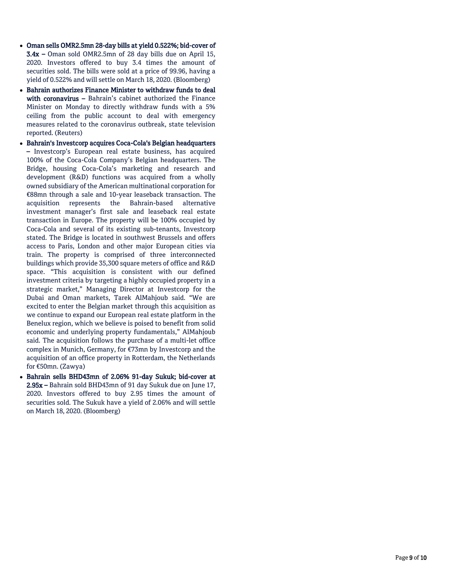- Oman sells OMR2.5mn 28 -day bills at yield 0.522%; bid -cover of 3.4x – Oman sold OMR2.5mn of 28 day bills due on April 15, 2020. Investors offered to buy 3.4 times the amount of securities sold. The bills were sold at a price of 99.96, having a yield of 0.522% and will settle on March 18, 2020. (Bloomberg)
- Bahrain authorizes Finance Minister to withdraw funds to deal with coronavirus - Bahrain's cabinet authorized the Finance Minister on Monday to directly withdraw funds with a 5% ceiling from the public account to deal with emergency measures related to the coronavirus outbreak, state television reported. (Reuters)
- Bahrain's Investcorp acquires Coca -Cola's Belgian headquarters – Investcorp's European real estate business, has acquired 100% of the Coca -Cola Company's Belgian headquarters. The Bridge, housing Coca -Cola's marketing and research and development (R&D) functions was acquired from a wholly owned subsidiary of the American multinational corporation for €88mn through a sale and 10 -year leaseback transaction. The acquisition represents the Bahrain alternative investment manager's first sale and leaseback real estate transaction in Europe. The property will be 100% occupied by Coca -Cola and several of its existing sub -tenants, Investcorp stated. The Bridge is located in southwest Brussels and offers access to Paris, London and other major European cities via train. The property is comprised of three interconnected buildings which provide 35,300 square meters of office and R&D space. "This acquisition is consistent with our defined investment criteria by targeting a highly occupied property in a strategic market," Managing Director at Investcorp for the Dubai and Oman markets, Tarek AlMahjoub said. "We are excited to enter the Belgian market through this acquisition as we continue to expand our European real estate platform in the Benelux region, which we believe is poised to benefit from solid economic and underlying property fundamentals," AlMahjoub said. The acquisition follows the purchase of a multi -let office complex in Munich, Germany, for €73mn by Investcorp and the acquisition of an office property in Rotterdam, the Netherlands for €50mn. (Zawya)
- Bahrain sells BHD43mn of 2.06% 91 -day Sukuk; bid -cover at 2.95x – Bahrain sold BHD43mn of 91 day Sukuk due on June 17, 2020. Investors offered to buy 2.95 times the amount of securities sold. The Sukuk have a yield of 2.06% and will settle on March 18, 2020. (Bloomberg)